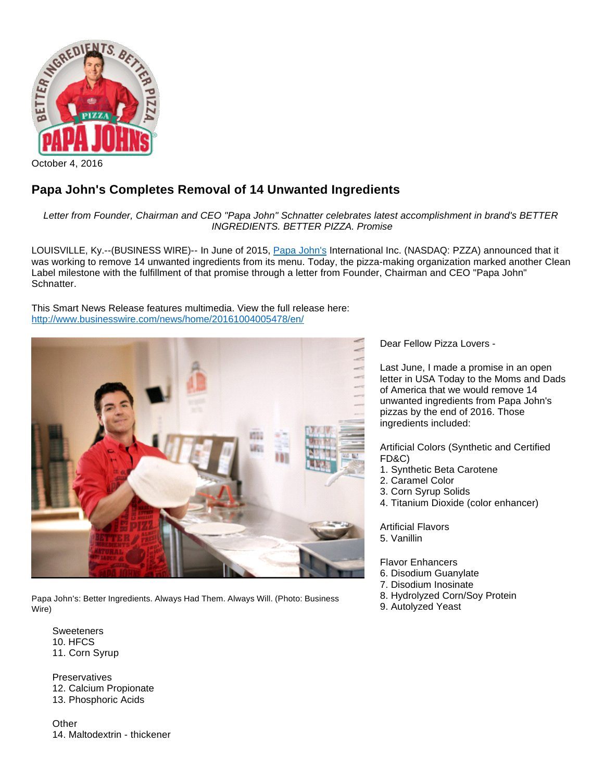

## **Papa John's Completes Removal of 14 Unwanted Ingredients**

Letter from Founder, Chairman and CEO "Papa John" Schnatter celebrates latest accomplishment in brand's BETTER INGREDIENTS. BETTER PIZZA. Promise

LOUISVILLE, Ky.--(BUSINESS WIRE)-- In June of 2015, [Papa John's](http://cts.businesswire.com/ct/CT?id=smartlink&url=https%3A%2F%2Fwww.papajohns.com%2F&esheet=51432437&newsitemid=20161004005478&lan=en-US&anchor=Papa+John%27s&index=1&md5=cffdba2303a5bb2673fe6767aa36dc3b) International Inc. (NASDAQ: PZZA) announced that it was working to remove 14 unwanted ingredients from its menu. Today, the pizza-making organization marked another Clean Label milestone with the fulfillment of that promise through a letter from Founder, Chairman and CEO "Papa John" Schnatter.

This Smart News Release features multimedia. View the full release here: <http://www.businesswire.com/news/home/20161004005478/en/>



Papa John's: Better Ingredients. Always Had Them. Always Will. (Photo: Business Wire)

**Sweeteners** 10. HFCS 11. Corn Syrup

**Preservatives** 12. Calcium Propionate 13. Phosphoric Acids

**Other** 14. Maltodextrin - thickener Dear Fellow Pizza Lovers -

Last June, I made a promise in an open letter in USA Today to the Moms and Dads of America that we would remove 14 unwanted ingredients from Papa John's pizzas by the end of 2016. Those ingredients included:

Artificial Colors (Synthetic and Certified FD&C)

- 1. Synthetic Beta Carotene
- 2. Caramel Color
- 3. Corn Syrup Solids
- 4. Titanium Dioxide (color enhancer)

Artificial Flavors 5. Vanillin

Flavor Enhancers

- 6. Disodium Guanylate
- 7. Disodium Inosinate
- 8. Hydrolyzed Corn/Soy Protein
- 9. Autolyzed Yeast